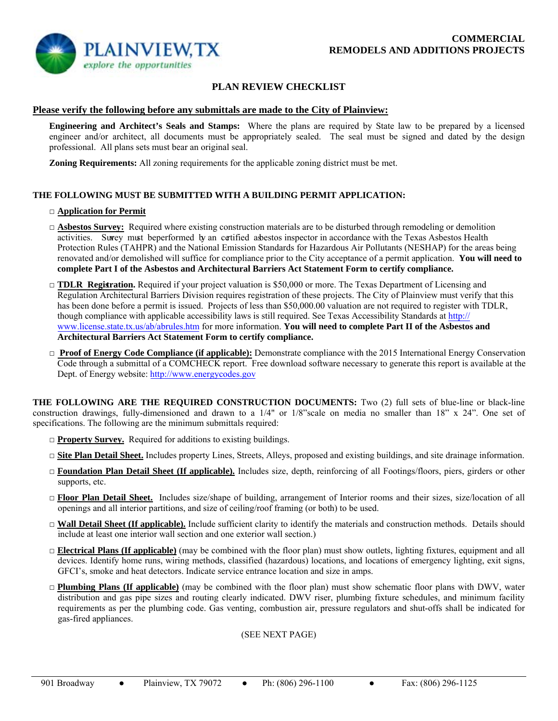

# **PLAN REVIEW CHECKLIST**

### **Please verify the following before any submittals are made to the City of Plainview:**

**Engineering and Architect's Seals and Stamps:** Where the plans are required by State law to be prepared by a licensed engineer and/or architect, all documents must be appropriately sealed. The seal must be signed and dated by the design professional. All plans sets must bear an original seal.

 **Zoning Requirements:** All zoning requirements for the applicable zoning district must be met.

## **THE FOLLOWING MUST BE SUBMITTED WITH A BUILDING PERMIT APPLICATION:**

### □ **Application for Permit**

- □ **Asbestos Survey:** Required where existing construction materials are to be disturbed through remodeling or demolition activities. Survey must beperformed by an certified asbestos inspector in accordance with the Texas Asbestos Health Protection Rules (TAHPR) and the National Emission Standards for Hazardous Air Pollutants (NESHAP) for the areas being renovated and/or demolished will suffice for compliance prior to the City acceptance of a permit application. **You will need to complete Part I of the Asbestos and Architectural Barriers Act Statement Form to certify compliance.**
- □ **TDLR Registration.** Required if your project valuation is \$50,000 or more. The Texas Department of Licensing and Regulation Architectural Barriers Division requires registration of these projects. The City of Plainview must verify that this has been done before a permit is issued. Projects of less than \$50,000.00 valuation are not required to register with TDLR, though compliance with applicable accessibility laws is still required. See Texas Accessibility Standards at http:// www.license.state.tx.us/ab/abrules.htm for more information. **You will need to complete Part II of the Asbestos and Architectural Barriers Act Statement Form to certify compliance.**
- □ **Proof of Energy Code Compliance (if applicable):** Demonstrate compliance with the 2015 International Energy Conservation Code through a submittal of a COMCHECK report. Free download software necessary to generate this report is available at the Dept. of Energy website: http://www.energycodes.gov

**THE FOLLOWING ARE THE REQUIRED CONSTRUCTION DOCUMENTS:** Two (2) full sets of blue-line or black-line construction drawings, fully-dimensioned and drawn to a 1/4" or 1/8"scale on media no smaller than 18" x 24". One set of specifications. The following are the minimum submittals required:

- □ **Property Survey.** Required for additions to existing buildings.
- □ **Site Plan Detail Sheet.** Includes property Lines, Streets, Alleys, proposed and existing buildings, and site drainage information.
- □ **Foundation Plan Detail Sheet (If applicable).** Includes size, depth, reinforcing of all Footings/floors, piers, girders or other supports, etc.
- □ **Floor Plan Detail Sheet.** Includes size/shape of building, arrangement of Interior rooms and their sizes, size/location of all openings and all interior partitions, and size of ceiling/roof framing (or both) to be used.
- $\Box$  **Wall Detail Sheet (If applicable).** Include sufficient clarity to identify the materials and construction methods. Details should include at least one interior wall section and one exterior wall section.)
- □ **Electrical Plans (If applicable)** (may be combined with the floor plan) must show outlets, lighting fixtures, equipment and all devices. Identify home runs, wiring methods, classified (hazardous) locations, and locations of emergency lighting, exit signs, GFCI's, smoke and heat detectors. Indicate service entrance location and size in amps.
- □ **Plumbing Plans (If applicable)** (may be combined with the floor plan) must show schematic floor plans with DWV, water distribution and gas pipe sizes and routing clearly indicated. DWV riser, plumbing fixture schedules, and minimum facility requirements as per the plumbing code. Gas venting, combustion air, pressure regulators and shut-offs shall be indicated for gas-fired appliances.

#### (SEE NEXT PAGE)